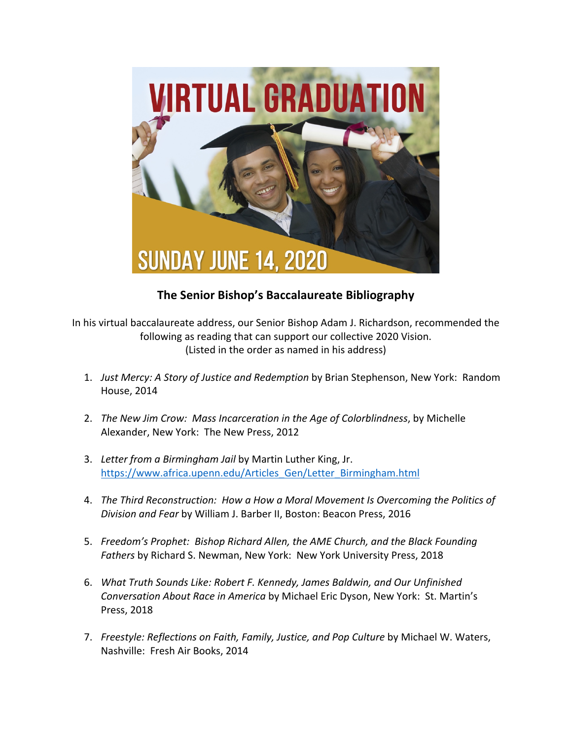

## **The Senior Bishop's Baccalaureate Bibliography**

In his virtual baccalaureate address, our Senior Bishop Adam J. Richardson, recommended the following as reading that can support our collective 2020 Vision. (Listed in the order as named in his address)

- 1. *Just Mercy: A Story of Justice and Redemption* by Brian Stephenson, New York: Random House, 2014
- 2. *The New Jim Crow: Mass Incarceration in the Age of Colorblindness*, by Michelle Alexander, New York: The New Press, 2012
- 3. *Letter from a Birmingham Jail* by Martin Luther King, Jr. https://www.africa.upenn.edu/Articles\_Gen/Letter\_Birmingham.html
- 4. *The Third Reconstruction: How a How a Moral Movement Is Overcoming the Politics of Division and Fear* by William J. Barber II, Boston: Beacon Press, 2016
- 5. *Freedom's Prophet: Bishop Richard Allen, the AME Church, and the Black Founding Fathers* by Richard S. Newman, New York: New York University Press, 2018
- 6. *What Truth Sounds Like: Robert F. Kennedy, James Baldwin, and Our Unfinished Conversation About Race in America* by Michael Eric Dyson, New York: St. Martin's Press, 2018
- 7. *Freestyle: Reflections on Faith, Family, Justice, and Pop Culture* by Michael W. Waters, Nashville: Fresh Air Books, 2014